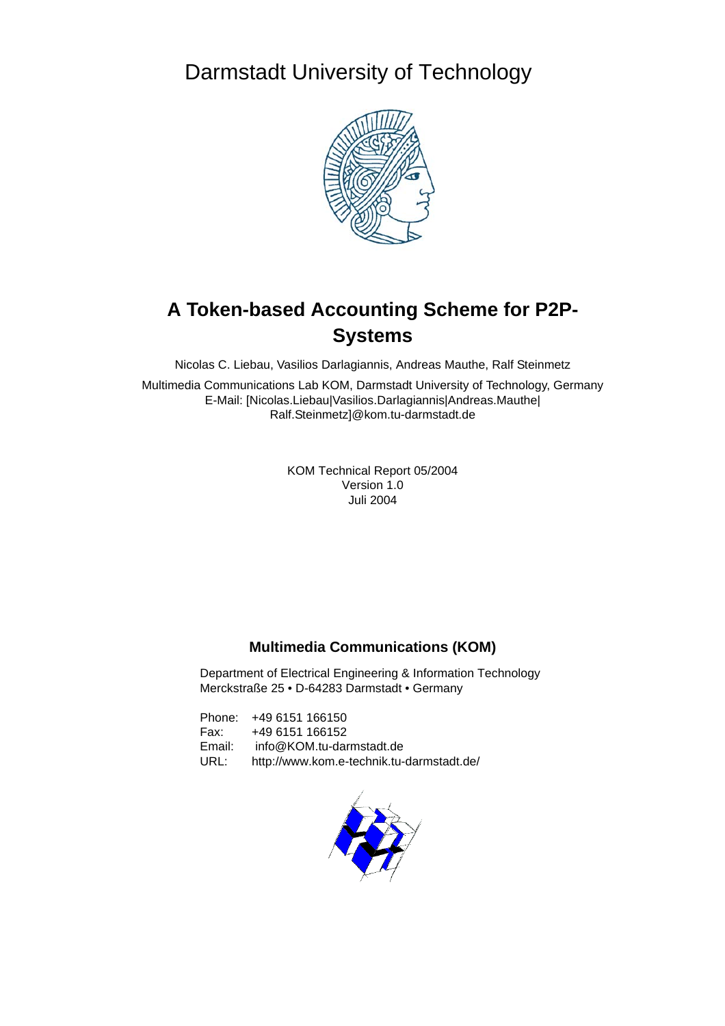Darmstadt University of Technology



# **A Token-based Accounting Scheme for P2P-Systems**

Nicolas C. Liebau, Vasilios Darlagiannis, Andreas Mauthe, Ralf Steinmetz

Multimedia Communications Lab KOM, Darmstadt University of Technology, Germany E-Mail: [Nicolas.Liebau|Vasilios.Darlagiannis|Andreas.Mauthe| Ralf.Steinmetz]@kom.tu-darmstadt.de

> KOM Technical Report 05/2004 Version 1.0 Juli 2004

# **Multimedia Communications (KOM)**

Department of Electrical Engineering & Information Technology Merckstraße 25 • D-64283 Darmstadt • Germany

Phone: +49 6151 166150 Fax: +49 6151 166152 Email: info@KOM.tu-darmstadt.de URL: http://www.kom.e-technik.tu-darmstadt.de/

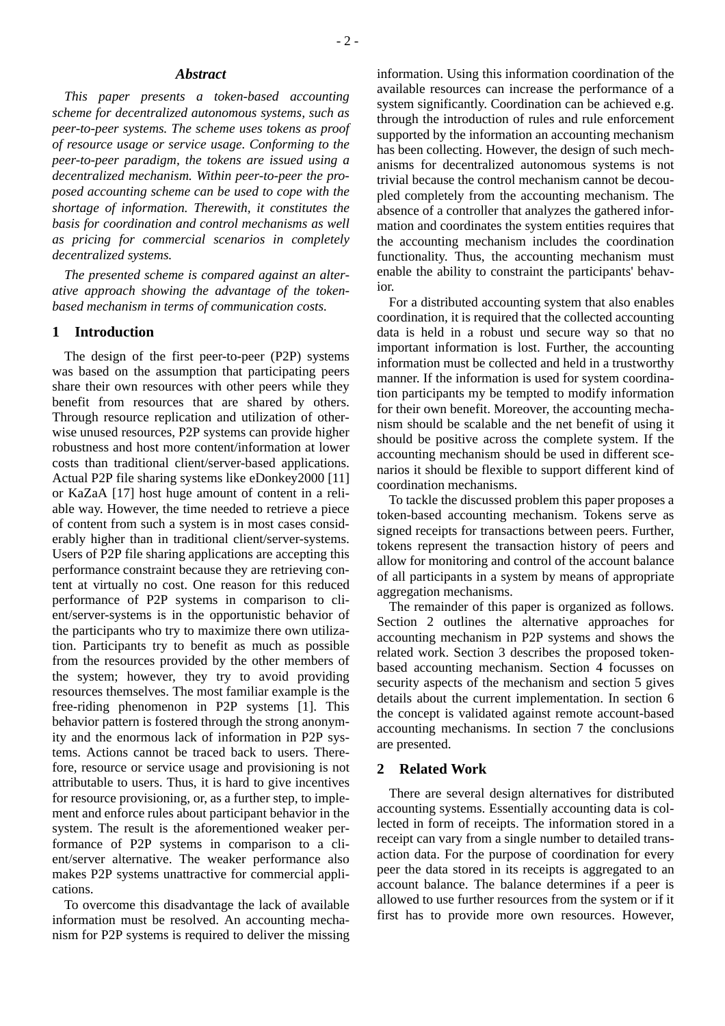#### *Abstract*

*This paper presents a token-based accounting scheme for decentralized autonomous systems, such as peer-to-peer systems. The scheme uses tokens as proof of resource usage or service usage. Conforming to the peer-to-peer paradigm, the tokens are issued using a decentralized mechanism. Within peer-to-peer the proposed accounting scheme can be used to cope with the shortage of information. Therewith, it constitutes the basis for coordination and control mechanisms as well as pricing for commercial scenarios in completely decentralized systems.*

*The presented scheme is compared against an alterative approach showing the advantage of the tokenbased mechanism in terms of communication costs.*

# **1 Introduction**

The design of the first peer-to-peer (P2P) systems was based on the assumption that participating peers share their own resources with other peers while they benefit from resources that are shared by others. Through resource replication and utilization of otherwise unused resources, P2P systems can provide higher robustness and host more content/information at lower costs than traditional client/server-based applications. Actual P2P file sharing systems like eDonkey2000 [11] or KaZaA [17] host huge amount of content in a reliable way. However, the time needed to retrieve a piece of content from such a system is in most cases considerably higher than in traditional client/server-systems. Users of P2P file sharing applications are accepting this performance constraint because they are retrieving content at virtually no cost. One reason for this reduced performance of P2P systems in comparison to client/server-systems is in the opportunistic behavior of the participants who try to maximize there own utilization. Participants try to benefit as much as possible from the resources provided by the other members of the system; however, they try to avoid providing resources themselves. The most familiar example is the free-riding phenomenon in P2P systems [1]. This behavior pattern is fostered through the strong anonymity and the enormous lack of information in P2P systems. Actions cannot be traced back to users. Therefore, resource or service usage and provisioning is not attributable to users. Thus, it is hard to give incentives for resource provisioning, or, as a further step, to implement and enforce rules about participant behavior in the system. The result is the aforementioned weaker performance of P2P systems in comparison to a client/server alternative. The weaker performance also makes P2P systems unattractive for commercial applications.

To overcome this disadvantage the lack of available information must be resolved. An accounting mechanism for P2P systems is required to deliver the missing information. Using this information coordination of the available resources can increase the performance of a system significantly. Coordination can be achieved e.g. through the introduction of rules and rule enforcement supported by the information an accounting mechanism has been collecting. However, the design of such mechanisms for decentralized autonomous systems is not trivial because the control mechanism cannot be decoupled completely from the accounting mechanism. The absence of a controller that analyzes the gathered information and coordinates the system entities requires that the accounting mechanism includes the coordination functionality. Thus, the accounting mechanism must enable the ability to constraint the participants' behavior.

For a distributed accounting system that also enables coordination, it is required that the collected accounting data is held in a robust und secure way so that no important information is lost. Further, the accounting information must be collected and held in a trustworthy manner. If the information is used for system coordination participants my be tempted to modify information for their own benefit. Moreover, the accounting mechanism should be scalable and the net benefit of using it should be positive across the complete system. If the accounting mechanism should be used in different scenarios it should be flexible to support different kind of coordination mechanisms.

To tackle the discussed problem this paper proposes a token-based accounting mechanism. Tokens serve as signed receipts for transactions between peers. Further, tokens represent the transaction history of peers and allow for monitoring and control of the account balance of all participants in a system by means of appropriate aggregation mechanisms.

The remainder of this paper is organized as follows. Section 2 outlines the alternative approaches for accounting mechanism in P2P systems and shows the related work. Section 3 describes the proposed tokenbased accounting mechanism. Section 4 focusses on security aspects of the mechanism and section 5 gives details about the current implementation. In section 6 the concept is validated against remote account-based accounting mechanisms. In section 7 the conclusions are presented.

#### **2 Related Work**

There are several design alternatives for distributed accounting systems. Essentially accounting data is collected in form of receipts. The information stored in a receipt can vary from a single number to detailed transaction data. For the purpose of coordination for every peer the data stored in its receipts is aggregated to an account balance. The balance determines if a peer is allowed to use further resources from the system or if it first has to provide more own resources. However,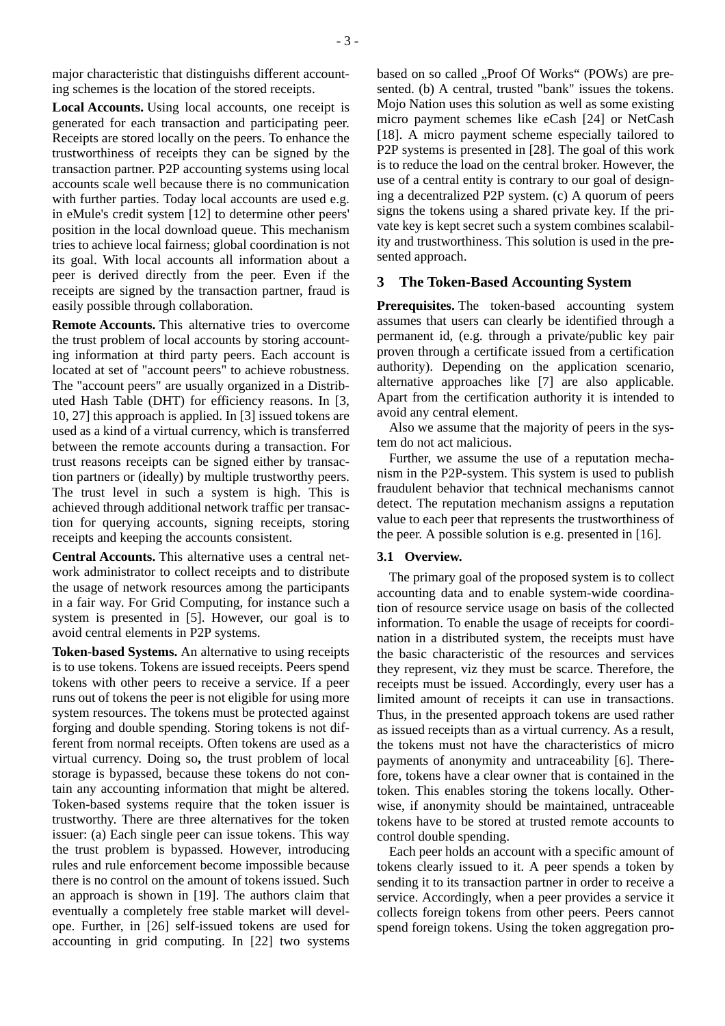major characteristic that distinguishs different accounting schemes is the location of the stored receipts.

**Local Accounts.** Using local accounts, one receipt is generated for each transaction and participating peer. Receipts are stored locally on the peers. To enhance the trustworthiness of receipts they can be signed by the transaction partner. P2P accounting systems using local accounts scale well because there is no communication with further parties. Today local accounts are used e.g. in eMule's credit system [12] to determine other peers' position in the local download queue. This mechanism tries to achieve local fairness; global coordination is not its goal. With local accounts all information about a peer is derived directly from the peer. Even if the receipts are signed by the transaction partner, fraud is easily possible through collaboration.

**Remote Accounts.** This alternative tries to overcome the trust problem of local accounts by storing accounting information at third party peers. Each account is located at set of "account peers" to achieve robustness. The "account peers" are usually organized in a Distributed Hash Table (DHT) for efficiency reasons. In [3, 10, 27] this approach is applied. In [3] issued tokens are used as a kind of a virtual currency, which is transferred between the remote accounts during a transaction. For trust reasons receipts can be signed either by transaction partners or (ideally) by multiple trustworthy peers. The trust level in such a system is high. This is achieved through additional network traffic per transaction for querying accounts, signing receipts, storing receipts and keeping the accounts consistent.

**Central Accounts.** This alternative uses a central network administrator to collect receipts and to distribute the usage of network resources among the participants in a fair way. For Grid Computing, for instance such a system is presented in [5]. However, our goal is to avoid central elements in P2P systems.

**Token-based Systems.** An alternative to using receipts is to use tokens. Tokens are issued receipts. Peers spend tokens with other peers to receive a service. If a peer runs out of tokens the peer is not eligible for using more system resources. The tokens must be protected against forging and double spending. Storing tokens is not different from normal receipts. Often tokens are used as a virtual currency. Doing so**,** the trust problem of local storage is bypassed, because these tokens do not contain any accounting information that might be altered. Token-based systems require that the token issuer is trustworthy. There are three alternatives for the token issuer: (a) Each single peer can issue tokens. This way the trust problem is bypassed. However, introducing rules and rule enforcement become impossible because there is no control on the amount of tokens issued. Such an approach is shown in [19]. The authors claim that eventually a completely free stable market will develope. Further, in [26] self-issued tokens are used for accounting in grid computing. In [22] two systems

based on so called "Proof Of Works" (POWs) are presented. (b) A central, trusted "bank" issues the tokens. Mojo Nation uses this solution as well as some existing micro payment schemes like eCash [24] or NetCash [18]. A micro payment scheme especially tailored to P2P systems is presented in [28]. The goal of this work is to reduce the load on the central broker. However, the use of a central entity is contrary to our goal of designing a decentralized P2P system. (c) A quorum of peers signs the tokens using a shared private key. If the private key is kept secret such a system combines scalability and trustworthiness. This solution is used in the presented approach.

# **3 The Token-Based Accounting System**

**Prerequisites.** The token-based accounting system assumes that users can clearly be identified through a permanent id, (e.g. through a private/public key pair proven through a certificate issued from a certification authority). Depending on the application scenario, alternative approaches like [7] are also applicable. Apart from the certification authority it is intended to avoid any central element.

Also we assume that the majority of peers in the system do not act malicious.

Further, we assume the use of a reputation mechanism in the P2P-system. This system is used to publish fraudulent behavior that technical mechanisms cannot detect. The reputation mechanism assigns a reputation value to each peer that represents the trustworthiness of the peer. A possible solution is e.g. presented in [16].

#### **3.1 Overview.**

The primary goal of the proposed system is to collect accounting data and to enable system-wide coordination of resource service usage on basis of the collected information. To enable the usage of receipts for coordination in a distributed system, the receipts must have the basic characteristic of the resources and services they represent, viz they must be scarce. Therefore, the receipts must be issued. Accordingly, every user has a limited amount of receipts it can use in transactions. Thus, in the presented approach tokens are used rather as issued receipts than as a virtual currency. As a result, the tokens must not have the characteristics of micro payments of anonymity and untraceability [6]. Therefore, tokens have a clear owner that is contained in the token. This enables storing the tokens locally. Otherwise, if anonymity should be maintained, untraceable tokens have to be stored at trusted remote accounts to control double spending.

Each peer holds an account with a specific amount of tokens clearly issued to it. A peer spends a token by sending it to its transaction partner in order to receive a service. Accordingly, when a peer provides a service it collects foreign tokens from other peers. Peers cannot spend foreign tokens. Using the token aggregation pro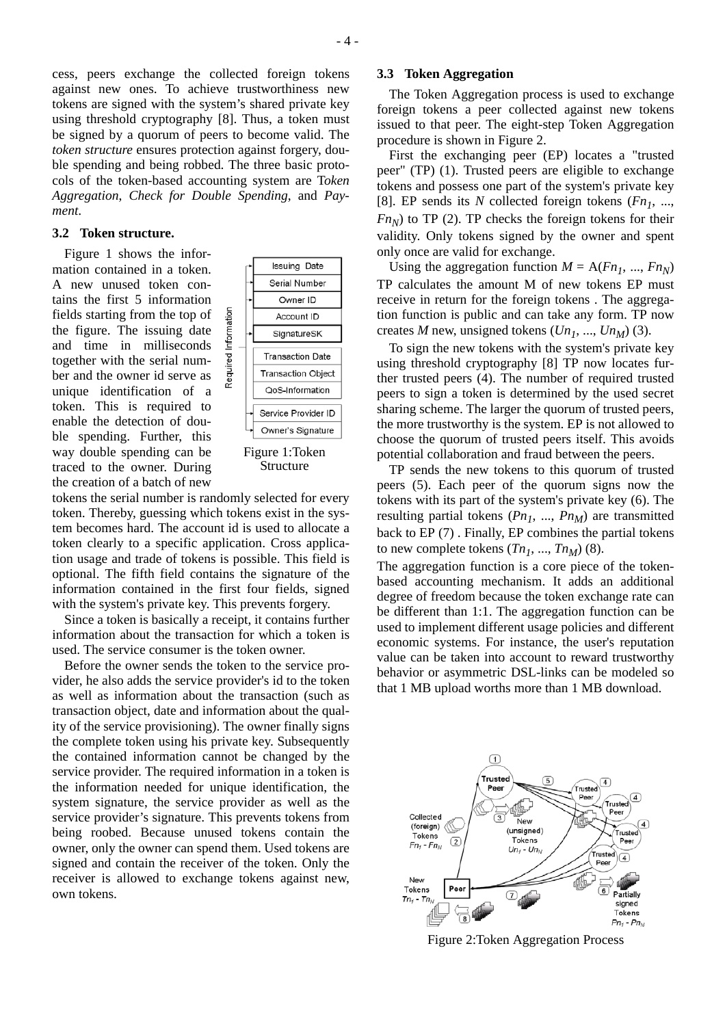$-4 -$ 

cess, peers exchange the collected foreign tokens against new ones. To achieve trustworthiness new tokens are signed with the system's shared private key using threshold cryptography [8]. Thus, a token must be signed by a quorum of peers to become valid. The *token structure* ensures protection against forgery, double spending and being robbed. The three basic protocols of the token-based accounting system are T*oken Aggregation*, *Check for Double Spending*, and *Payment*.

Information

Required

#### **3.2 Token structure.**

Figure 1 shows the information contained in a token. A new unused token contains the first 5 information fields starting from the top of the figure. The issuing date and time in milliseconds together with the serial number and the owner id serve as unique identification of a token. This is required to enable the detection of double spending. Further, this way double spending can be traced to the owner. During the creation of a batch of new



Structure

tokens the serial number is randomly selected for every token. Thereby, guessing which tokens exist in the system becomes hard. The account id is used to allocate a token clearly to a specific application. Cross application usage and trade of tokens is possible. This field is optional. The fifth field contains the signature of the information contained in the first four fields, signed with the system's private key. This prevents forgery.

Since a token is basically a receipt, it contains further information about the transaction for which a token is used. The service consumer is the token owner.

Before the owner sends the token to the service provider, he also adds the service provider's id to the token as well as information about the transaction (such as transaction object, date and information about the quality of the service provisioning). The owner finally signs the complete token using his private key. Subsequently the contained information cannot be changed by the service provider. The required information in a token is the information needed for unique identification, the system signature, the service provider as well as the service provider's signature. This prevents tokens from being roobed. Because unused tokens contain the owner, only the owner can spend them. Used tokens are signed and contain the receiver of the token. Only the receiver is allowed to exchange tokens against new, own tokens.

#### **3.3 Token Aggregation**

The Token Aggregation process is used to exchange foreign tokens a peer collected against new tokens issued to that peer. The eight-step Token Aggregation procedure is shown in Figure 2.

First the exchanging peer (EP) locates a "trusted peer" (TP) (1). Trusted peers are eligible to exchange tokens and possess one part of the system's private key [8]. EP sends its *N* collected foreign tokens ( $Fn_1$ , ...,  $Fn_N$ ) to TP (2). TP checks the foreign tokens for their validity. Only tokens signed by the owner and spent only once are valid for exchange.

Using the aggregation function  $M = A(Fn_1, ..., Fn_N)$ TP calculates the amount M of new tokens EP must receive in return for the foreign tokens . The aggregation function is public and can take any form. TP now creates *M* new, unsigned tokens  $(Un_1, ..., Un_M)$  (3).

To sign the new tokens with the system's private key using threshold cryptography [8] TP now locates further trusted peers (4). The number of required trusted peers to sign a token is determined by the used secret sharing scheme. The larger the quorum of trusted peers, the more trustworthy is the system. EP is not allowed to choose the quorum of trusted peers itself. This avoids potential collaboration and fraud between the peers.

TP sends the new tokens to this quorum of trusted peers (5). Each peer of the quorum signs now the tokens with its part of the system's private key (6). The resulting partial tokens  $(Pn_1, ..., Pn_M)$  are transmitted back to EP (7) . Finally, EP combines the partial tokens to new complete tokens  $(Tn_1, ..., Tn_M)$  (8).

The aggregation function is a core piece of the tokenbased accounting mechanism. It adds an additional degree of freedom because the token exchange rate can be different than 1:1. The aggregation function can be used to implement different usage policies and different economic systems. For instance, the user's reputation value can be taken into account to reward trustworthy behavior or asymmetric DSL-links can be modeled so that 1 MB upload worths more than 1 MB download.



Figure 2:Token Aggregation Process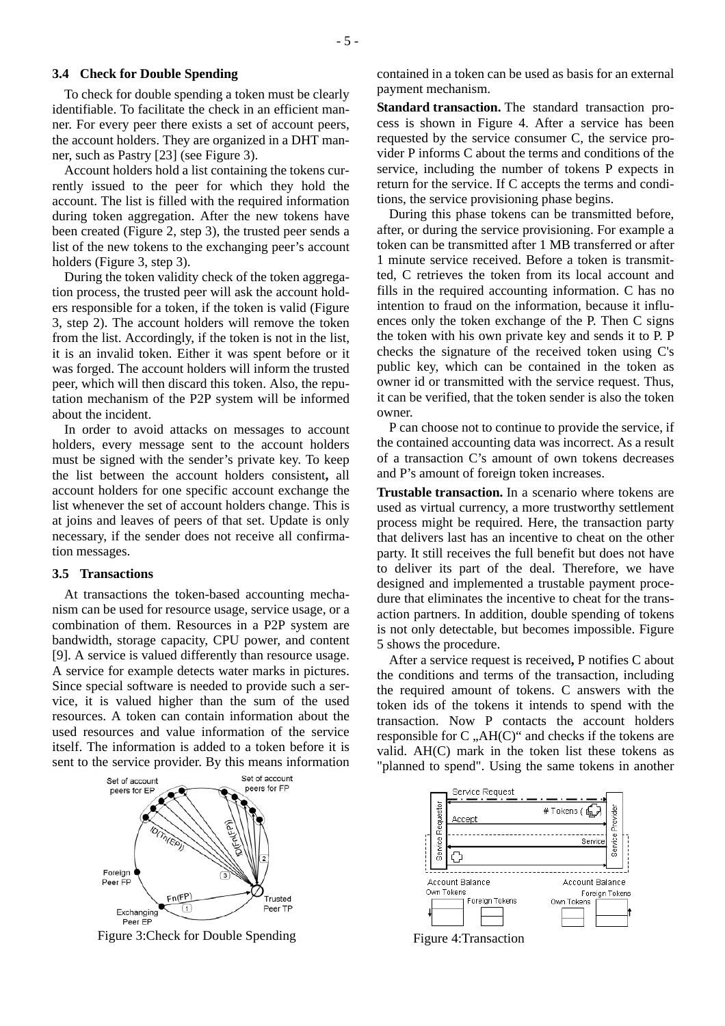#### **3.4 Check for Double Spending**

To check for double spending a token must be clearly identifiable. To facilitate the check in an efficient manner. For every peer there exists a set of account peers, the account holders. They are organized in a DHT manner, such as Pastry [23] (see Figure 3).

Account holders hold a list containing the tokens currently issued to the peer for which they hold the account. The list is filled with the required information during token aggregation. After the new tokens have been created (Figure 2, step 3), the trusted peer sends a list of the new tokens to the exchanging peer's account holders (Figure 3, step 3).

During the token validity check of the token aggregation process, the trusted peer will ask the account holders responsible for a token, if the token is valid (Figure 3, step 2). The account holders will remove the token from the list. Accordingly, if the token is not in the list, it is an invalid token. Either it was spent before or it was forged. The account holders will inform the trusted peer, which will then discard this token. Also, the reputation mechanism of the P2P system will be informed about the incident.

In order to avoid attacks on messages to account holders, every message sent to the account holders must be signed with the sender's private key. To keep the list between the account holders consistent**,** all account holders for one specific account exchange the list whenever the set of account holders change. This is at joins and leaves of peers of that set. Update is only necessary, if the sender does not receive all confirmation messages.

#### **3.5 Transactions**

At transactions the token-based accounting mechanism can be used for resource usage, service usage, or a combination of them. Resources in a P2P system are bandwidth, storage capacity, CPU power, and content [9]. A service is valued differently than resource usage. A service for example detects water marks in pictures. Since special software is needed to provide such a service, it is valued higher than the sum of the used resources. A token can contain information about the used resources and value information of the service itself. The information is added to a token before it is sent to the service provider. By this means information



Figure 3: Check for Double Spending Figure 4: Transaction

contained in a token can be used as basis for an external payment mechanism.

**Standard transaction.** The standard transaction process is shown in Figure 4. After a service has been requested by the service consumer C, the service provider P informs C about the terms and conditions of the service, including the number of tokens P expects in return for the service. If C accepts the terms and conditions, the service provisioning phase begins.

During this phase tokens can be transmitted before, after, or during the service provisioning. For example a token can be transmitted after 1 MB transferred or after 1 minute service received. Before a token is transmitted, C retrieves the token from its local account and fills in the required accounting information. C has no intention to fraud on the information, because it influences only the token exchange of the P. Then C signs the token with his own private key and sends it to P. P checks the signature of the received token using C's public key, which can be contained in the token as owner id or transmitted with the service request. Thus, it can be verified, that the token sender is also the token owner.

P can choose not to continue to provide the service, if the contained accounting data was incorrect. As a result of a transaction C's amount of own tokens decreases and P's amount of foreign token increases.

**Trustable transaction.** In a scenario where tokens are used as virtual currency, a more trustworthy settlement process might be required. Here, the transaction party that delivers last has an incentive to cheat on the other party. It still receives the full benefit but does not have to deliver its part of the deal. Therefore, we have designed and implemented a trustable payment procedure that eliminates the incentive to cheat for the transaction partners. In addition, double spending of tokens is not only detectable, but becomes impossible. Figure 5 shows the procedure.

After a service request is received**,** P notifies C about the conditions and terms of the transaction, including the required amount of tokens. C answers with the token ids of the tokens it intends to spend with the transaction. Now P contacts the account holders responsible for  $C$ ,  $AH(C)$ " and checks if the tokens are valid. AH(C) mark in the token list these tokens as "planned to spend". Using the same tokens in another

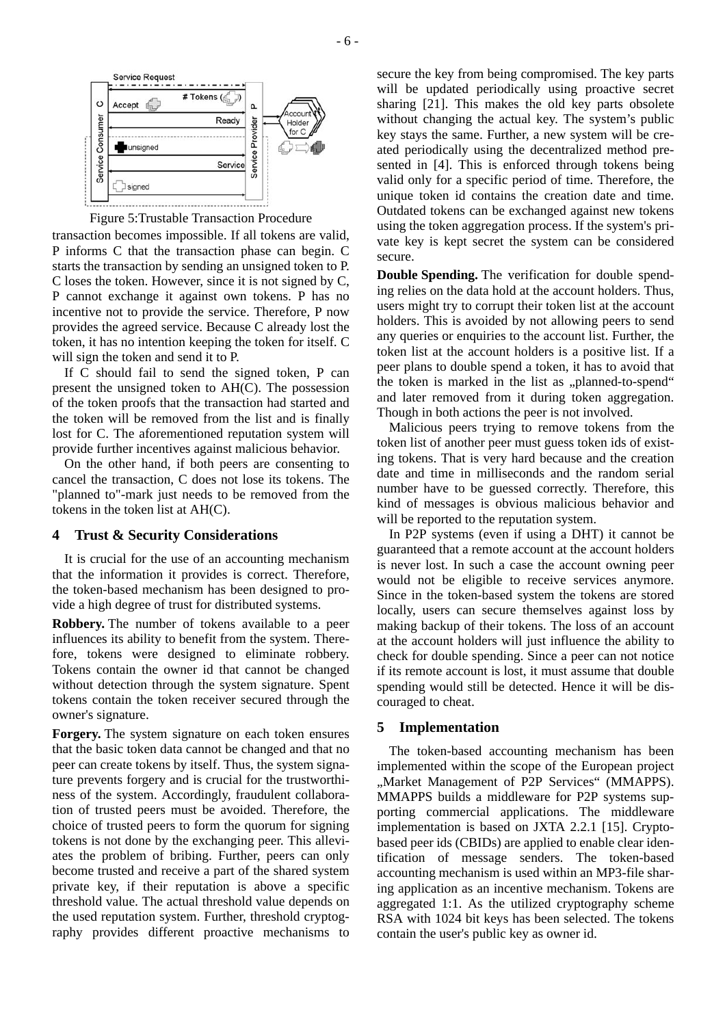

Figure 5:Trustable Transaction Procedure

transaction becomes impossible. If all tokens are valid, P informs C that the transaction phase can begin. C starts the transaction by sending an unsigned token to P. C loses the token. However, since it is not signed by C, P cannot exchange it against own tokens. P has no incentive not to provide the service. Therefore, P now provides the agreed service. Because C already lost the token, it has no intention keeping the token for itself. C will sign the token and send it to P.

If C should fail to send the signed token, P can present the unsigned token to AH(C). The possession of the token proofs that the transaction had started and the token will be removed from the list and is finally lost for C. The aforementioned reputation system will provide further incentives against malicious behavior.

On the other hand, if both peers are consenting to cancel the transaction, C does not lose its tokens. The "planned to"-mark just needs to be removed from the tokens in the token list at AH(C).

# **4 Trust & Security Considerations**

It is crucial for the use of an accounting mechanism that the information it provides is correct. Therefore, the token-based mechanism has been designed to provide a high degree of trust for distributed systems.

**Robbery.** The number of tokens available to a peer influences its ability to benefit from the system. Therefore, tokens were designed to eliminate robbery. Tokens contain the owner id that cannot be changed without detection through the system signature. Spent tokens contain the token receiver secured through the owner's signature.

**Forgery.** The system signature on each token ensures that the basic token data cannot be changed and that no peer can create tokens by itself. Thus, the system signature prevents forgery and is crucial for the trustworthiness of the system. Accordingly, fraudulent collaboration of trusted peers must be avoided. Therefore, the choice of trusted peers to form the quorum for signing tokens is not done by the exchanging peer. This alleviates the problem of bribing. Further, peers can only become trusted and receive a part of the shared system private key, if their reputation is above a specific threshold value. The actual threshold value depends on the used reputation system. Further, threshold cryptography provides different proactive mechanisms to

secure the key from being compromised. The key parts will be updated periodically using proactive secret sharing [21]. This makes the old key parts obsolete without changing the actual key. The system's public key stays the same. Further, a new system will be created periodically using the decentralized method presented in [4]. This is enforced through tokens being valid only for a specific period of time. Therefore, the unique token id contains the creation date and time. Outdated tokens can be exchanged against new tokens using the token aggregation process. If the system's private key is kept secret the system can be considered secure.

**Double Spending.** The verification for double spending relies on the data hold at the account holders. Thus, users might try to corrupt their token list at the account holders. This is avoided by not allowing peers to send any queries or enquiries to the account list. Further, the token list at the account holders is a positive list. If a peer plans to double spend a token, it has to avoid that the token is marked in the list as "planned-to-spend" and later removed from it during token aggregation. Though in both actions the peer is not involved.

Malicious peers trying to remove tokens from the token list of another peer must guess token ids of existing tokens. That is very hard because and the creation date and time in milliseconds and the random serial number have to be guessed correctly. Therefore, this kind of messages is obvious malicious behavior and will be reported to the reputation system.

In P2P systems (even if using a DHT) it cannot be guaranteed that a remote account at the account holders is never lost. In such a case the account owning peer would not be eligible to receive services anymore. Since in the token-based system the tokens are stored locally, users can secure themselves against loss by making backup of their tokens. The loss of an account at the account holders will just influence the ability to check for double spending. Since a peer can not notice if its remote account is lost, it must assume that double spending would still be detected. Hence it will be discouraged to cheat.

# **5 Implementation**

The token-based accounting mechanism has been implemented within the scope of the European project "Market Management of P2P Services" (MMAPPS). MMAPPS builds a middleware for P2P systems supporting commercial applications. The middleware implementation is based on JXTA 2.2.1 [15]. Cryptobased peer ids (CBIDs) are applied to enable clear identification of message senders. The token-based accounting mechanism is used within an MP3-file sharing application as an incentive mechanism. Tokens are aggregated 1:1. As the utilized cryptography scheme RSA with 1024 bit keys has been selected. The tokens contain the user's public key as owner id.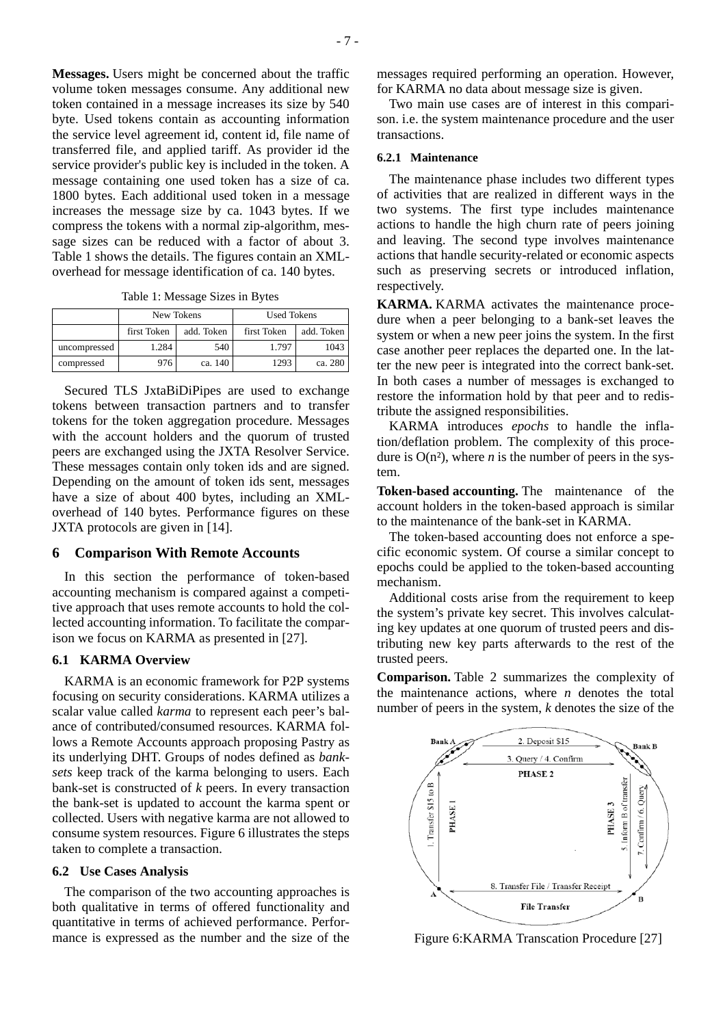**Messages.** Users might be concerned about the traffic volume token messages consume. Any additional new token contained in a message increases its size by 540 byte. Used tokens contain as accounting information the service level agreement id, content id, file name of transferred file, and applied tariff. As provider id the service provider's public key is included in the token. A message containing one used token has a size of ca. 1800 bytes. Each additional used token in a message increases the message size by ca. 1043 bytes. If we compress the tokens with a normal zip-algorithm, message sizes can be reduced with a factor of about 3. Table 1 shows the details. The figures contain an XMLoverhead for message identification of ca. 140 bytes.

|  | Table 1: Message Sizes in Bytes |  |  |  |
|--|---------------------------------|--|--|--|
|--|---------------------------------|--|--|--|

|              | New Tokens  |            | <b>Used Tokens</b> |            |
|--------------|-------------|------------|--------------------|------------|
|              | first Token | add. Token | first Token        | add. Token |
| uncompressed | 1.284       | 540        | 1.797              | 1043       |
| compressed   | 976         | ca. 140    | 1293               | ca. 280    |

Secured TLS JxtaBiDiPipes are used to exchange tokens between transaction partners and to transfer tokens for the token aggregation procedure. Messages with the account holders and the quorum of trusted peers are exchanged using the JXTA Resolver Service. These messages contain only token ids and are signed. Depending on the amount of token ids sent, messages have a size of about 400 bytes, including an XMLoverhead of 140 bytes. Performance figures on these JXTA protocols are given in [14].

#### **6 Comparison With Remote Accounts**

In this section the performance of token-based accounting mechanism is compared against a competitive approach that uses remote accounts to hold the collected accounting information. To facilitate the comparison we focus on KARMA as presented in [27].

# **6.1 KARMA Overview**

KARMA is an economic framework for P2P systems focusing on security considerations. KARMA utilizes a scalar value called *karma* to represent each peer's balance of contributed/consumed resources. KARMA follows a Remote Accounts approach proposing Pastry as its underlying DHT. Groups of nodes defined as *banksets* keep track of the karma belonging to users. Each bank-set is constructed of *k* peers. In every transaction the bank-set is updated to account the karma spent or collected. Users with negative karma are not allowed to consume system resources. Figure 6 illustrates the steps taken to complete a transaction.

#### **6.2 Use Cases Analysis**

The comparison of the two accounting approaches is both qualitative in terms of offered functionality and quantitative in terms of achieved performance. Performance is expressed as the number and the size of the

messages required performing an operation. However, for KARMA no data about message size is given.

Two main use cases are of interest in this comparison. i.e. the system maintenance procedure and the user transactions.

#### **6.2.1 Maintenance**

The maintenance phase includes two different types of activities that are realized in different ways in the two systems. The first type includes maintenance actions to handle the high churn rate of peers joining and leaving. The second type involves maintenance actions that handle security**-**related or economic aspects such as preserving secrets or introduced inflation, respectively.

**KARMA.** KARMA activates the maintenance procedure when a peer belonging to a bank-set leaves the system or when a new peer joins the system. In the first case another peer replaces the departed one. In the latter the new peer is integrated into the correct bank-set. In both cases a number of messages is exchanged to restore the information hold by that peer and to redistribute the assigned responsibilities.

KARMA introduces *epochs* to handle the inflation/deflation problem. The complexity of this procedure is  $O(n^2)$ , where *n* is the number of peers in the system.

**Token-based accounting.** The maintenance of the account holders in the token-based approach is similar to the maintenance of the bank-set in KARMA.

The token-based accounting does not enforce a specific economic system. Of course a similar concept to epochs could be applied to the token-based accounting mechanism.

Additional costs arise from the requirement to keep the system's private key secret. This involves calculating key updates at one quorum of trusted peers and distributing new key parts afterwards to the rest of the trusted peers.

**Comparison.** Table 2 summarizes the complexity of the maintenance actions, where  $n$  denotes the total number of peers in the system, *k* denotes the size of the



Figure 6:KARMA Transcation Procedure [27]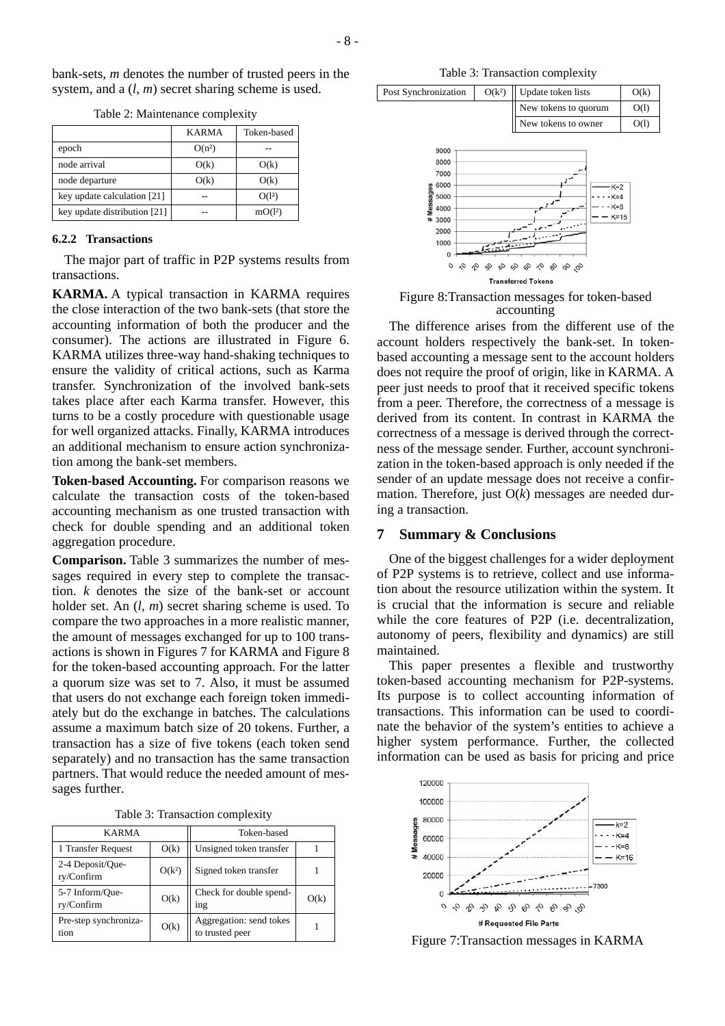bank-sets, *m* denotes the number of trusted peers in the system, and a (*l*, *m*) secret sharing scheme is used.

|                              | <b>KARMA</b> | Token-based |
|------------------------------|--------------|-------------|
| epoch                        | $O(n^2)$     |             |
| node arrival                 | O(k)         | O(k)        |
| node departure               | O(k)         | O(k)        |
| key update calculation [21]  |              | $O(1^2)$    |
| key update distribution [21] |              | $mO(1^2)$   |

Table 2: Maintenance complexity

#### **6.2.2 Transactions**

The major part of traffic in P2P systems results from transactions.

**KARMA.** A typical transaction in KARMA requires the close interaction of the two bank-sets (that store the accounting information of both the producer and the consumer). The actions are illustrated in Figure 6. KARMA utilizes three-way hand-shaking techniques to ensure the validity of critical actions, such as Karma transfer. Synchronization of the involved bank-sets takes place after each Karma transfer. However, this turns to be a costly procedure with questionable usage for well organized attacks. Finally, KARMA introduces an additional mechanism to ensure action synchronization among the bank-set members.

**Token-based Accounting.** For comparison reasons we calculate the transaction costs of the token-based accounting mechanism as one trusted transaction with check for double spending and an additional token aggregation procedure.

**Comparison.** Table 3 summarizes the number of messages required in every step to complete the transaction. *k* denotes the size of the bank-set or account holder set. An (*l*, *m*) secret sharing scheme is used. To compare the two approaches in a more realistic manner, the amount of messages exchanged for up to 100 transactions is shown in Figures 7 for KARMA and Figure 8 for the token-based accounting approach. For the latter a quorum size was set to 7. Also, it must be assumed that users do not exchange each foreign token immediately but do the exchange in batches. The calculations assume a maximum batch size of 20 tokens. Further, a transaction has a size of five tokens (each token send separately) and no transaction has the same transaction partners. That would reduce the needed amount of messages further.

|  |  | Table 3: Transaction complexity |  |  |
|--|--|---------------------------------|--|--|
|--|--|---------------------------------|--|--|

| KARMA                          |          | Token-based                                |      |
|--------------------------------|----------|--------------------------------------------|------|
| 1 Transfer Request             | O(k)     | Unsigned token transfer                    |      |
| 2-4 Deposit/Que-<br>ry/Confirm | $O(k^2)$ | Signed token transfer                      |      |
| 5-7 Inform/Oue-<br>ry/Confirm  | O(k)     | Check for double spend-<br>ing             | O(k) |
| Pre-step synchroniza-<br>tion  | O(k)     | Aggregation: send tokes<br>to trusted peer |      |





Figure 8:Transaction messages for token-based accounting

The difference arises from the different use of the account holders respectively the bank-set. In tokenbased accounting a message sent to the account holders does not require the proof of origin, like in KARMA. A peer just needs to proof that it received specific tokens from a peer. Therefore, the correctness of a message is derived from its content. In contrast in KARMA the correctness of a message is derived through the correctness of the message sender. Further, account synchronization in the token-based approach is only needed if the sender of an update message does not receive a confirmation. Therefore, just  $O(k)$  messages are needed during a transaction.

# **7 Summary & Conclusions**

One of the biggest challenges for a wider deployment of P2P systems is to retrieve, collect and use information about the resource utilization within the system. It is crucial that the information is secure and reliable while the core features of P2P (i.e. decentralization, autonomy of peers, flexibility and dynamics) are still maintained.

This paper presentes a flexible and trustworthy token-based accounting mechanism for P2P-systems. Its purpose is to collect accounting information of transactions. This information can be used to coordinate the behavior of the system's entities to achieve a higher system performance. Further, the collected information can be used as basis for pricing and price



Figure 7:Transaction messages in KARMA